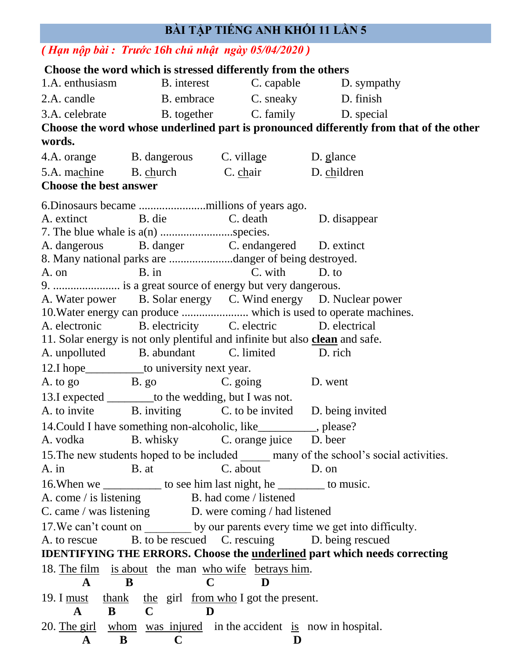## **BÀI TẬP TIẾNG ANH KHỐI 11 LẦN 5**

## *( Hạn nộp bài : Trước 16h chủ nhật ngày 05/04/2020 )*

**Choose the word which is stressed differently from the others**  1.A. enthusiasm B. interest C. capable D. sympathy 2.A. candle B. embrace C. sneaky D. finish 3.A. celebrate B. together C. family D. special **Choose the word whose underlined part is pronounced differently from that of the other words.**  4.A. orange B. dangerous C. village D. glance 5.A. machine B. church C. chair D. children **Choose the best answer** 6.Dinosaurs became .......................millions of years ago. A. extinct B. die C. death D. disappear 7. The blue whale is a(n) .........................species. A. dangerous B. danger C. endangered D. extinct 8. Many national parks are ......................danger of being destroyed. A. on B. in C. with D. to 9. ....................... is a great source of energy but very dangerous. A. Water power B. Solar energy C. Wind energy D. Nuclear power 10.Water energy can produce ....................... which is used to operate machines. A. electronic B. electricity C. electric D. electrical 11. Solar energy is not only plentiful and infinite but also **clean** and safe. A. unpolluted B. abundant C. limited D. rich 12.I hope\_\_\_\_\_\_\_\_\_\_\_\_to university next year. A. to go B. go B. go C. going D. went 13.I expected \_\_\_\_\_\_\_\_to the wedding, but I was not. A. to invite B. inviting C. to be invited D. being invited 14. Could I have something non-alcoholic, like example the please? A. vodka B. whisky C. orange juice D. beer 15. The new students hoped to be included many of the school's social activities. A. in B. at C. about D. on 16. When we \_\_\_\_\_\_\_\_\_\_\_\_ to see him last night, he \_\_\_\_\_\_\_\_\_\_ to music. A. come / is listening B. had come / listened C. came / was listening D. were coming / had listened 17. We can't count on by our parents every time we get into difficulty. A. to rescue B. to be rescued C. rescuing D. being rescued **IDENTIFYING THE ERRORS. Choose the underlined part which needs correcting** 18. The film is about the man who wife betrays him.  **A B C D** 19. I must thank the girl from who I got the present.  **A B C D** 20. The girl whom was injured in the accident is now in hospital. **A B C D**